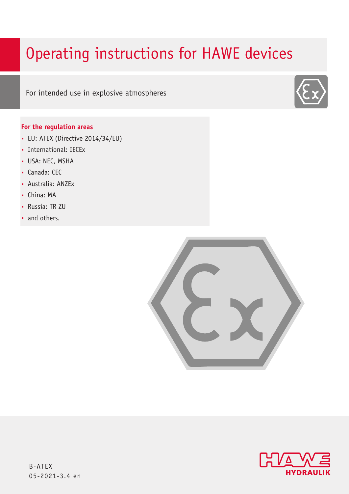# Operating instructions for HAWE devices

For intended use in explosive atmospheres

# **For the regulation areas**

- EU: ATEX (Directive 2014/34/EU)
- International: IECEx
- **USA: NEC, MSHA**
- Canada: CEC
- Australia: ANZEx
- China: MA
- Russia: TR ZU
- and others.





B-ATEX 05-2021-3.4 en

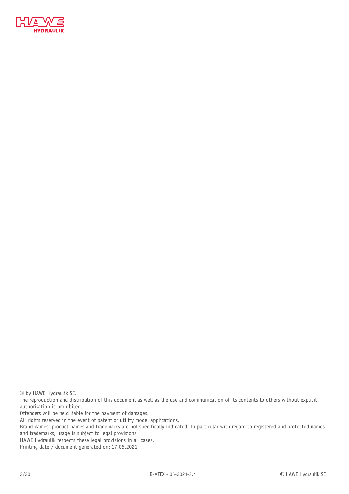

© by HAWE Hydraulik SE.

The reproduction and distribution of this document as well as the use and communication of its contents to others without explicit authorisation is prohibited.

Offenders will be held liable for the payment of damages.

All rights reserved in the event of patent or utility model applications.

Brand names, product names and trademarks are not specifically indicated. In particular with regard to registered and protected names and trademarks, usage is subject to legal provisions.

HAWE Hydraulik respects these legal provisions in all cases.

Printing date / document generated on: 17.05.2021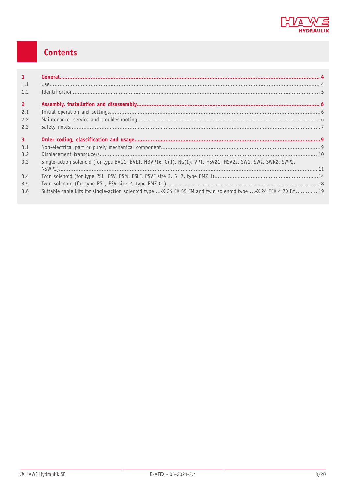

# Contents

| 1              |                                                                                                            |  |
|----------------|------------------------------------------------------------------------------------------------------------|--|
| 1.1            |                                                                                                            |  |
| 1.2            |                                                                                                            |  |
| 2 <sup>1</sup> |                                                                                                            |  |
| 2.1            |                                                                                                            |  |
| 2.2            |                                                                                                            |  |
| 2.3            |                                                                                                            |  |
| $\overline{3}$ |                                                                                                            |  |
| 3.1            |                                                                                                            |  |
|                |                                                                                                            |  |
| 3.2            |                                                                                                            |  |
| 3.3            | Single-action solenoid (for type BVG1, BVE1, NBVP16, G(1), NG(1), VP1, HSV21, HSV22, SW1, SW2, SWR2, SWP2, |  |
| 3.4            |                                                                                                            |  |
| 3.5            |                                                                                                            |  |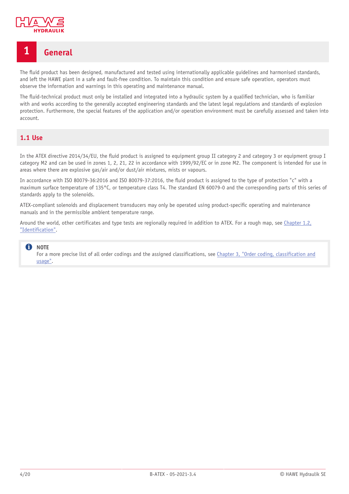

# <span id="page-3-0"></span>**1 General**

The fluid product has been designed, manufactured and tested using internationally applicable guidelines and harmonised standards, and left the HAWE plant in a safe and fault-free condition. To maintain this condition and ensure safe operation, operators must observe the information and warnings in this operating and maintenance manual.

The fluid-technical product must only be installed and integrated into a hydraulic system by a qualified technician, who is familiar with and works according to the generally accepted engineering standards and the latest legal regulations and standards of explosion protection. Furthermore, the special features of the application and/or operation environment must be carefully assessed and taken into account.

# <span id="page-3-1"></span>**1.1 Use**

In the ATEX directive 2014/34/EU, the fluid product is assigned to equipment group II category 2 and category 3 or equipment group I category M2 and can be used in zones 1, 2, 21, 22 in accordance with 1999/92/EC or in zone M2. The component is intended for use in areas where there are explosive gas/air and/or dust/air mixtures, mists or vapours.

In accordance with ISO 80079-36:2016 and ISO 80079-37:2016, the fluid product is assigned to the type of protection "c" with a maximum surface temperature of 135°C, or temperature class T4. The standard EN 60079-0 and the corresponding parts of this series of standards apply to the solenoids.

ATEX-compliant solenoids and displacement transducers may only be operated using product-specific operating and maintenance manuals and in the permissible ambient temperature range.

Around the world, other certificates and type tests are regionally required in addition to ATEX. For a rough map, see [Chapter 1.2,](#page-4-0) ["Identification"](#page-4-0).

#### **f** NOTE

For a more precise list of all order codings and the assigned classifications, see Chapter 3, "Order coding, [classification](#page-8-0) and [usage"](#page-8-0).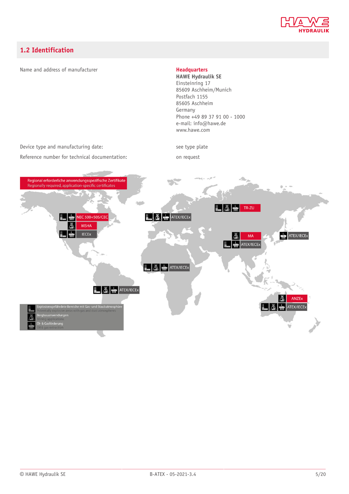

# <span id="page-4-0"></span>**1.2 Identification**

#### Name and address of manufacturer **Headquarters**

**HAWE Hydraulik SE** Einsteinring 17 85609 Aschheim/Munich Postfach 1155 85605 Aschheim Germany Phone +49 89 37 91 00 - 1000 e-mail: info@hawe.de www.hawe.com

Device type and manufacturing date: see type plate

Reference number for technical documentation: on request

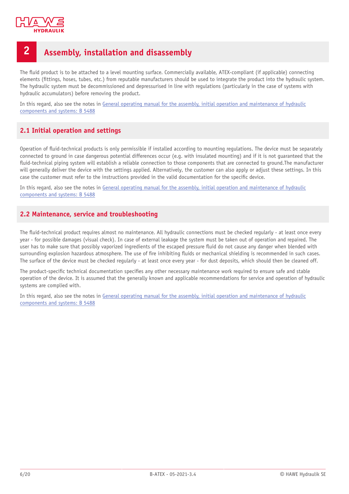

# <span id="page-5-0"></span>**2 Assembly, installation and disassembly**

The fluid product is to be attached to a level mounting surface. Commercially available, ATEX-compliant (if applicable) connecting elements (fittings, hoses, tubes, etc.) from reputable manufacturers should be used to integrate the product into the hydraulic system. The hydraulic system must be decommissioned and depressurised in line with regulations (particularly in the case of systems with hydraulic accumulators) before removing the product.

In this regard, also see the notes in General operating manual for the assembly, initial operation and [maintenance](http://www.hawe.de/fileadmin/content/typeman/catalog/Pdf/5/4/B5488-en.pdf) of hydraulic [components](http://www.hawe.de/fileadmin/content/typeman/catalog/Pdf/5/4/B5488-en.pdf) and systems: B 5488

# <span id="page-5-1"></span>**2.1 Initial operation and settings**

Operation of fluid-technical products is only permissible if installed according to mounting regulations. The device must be separately connected to ground in case dangerous potential differences occur (e.g. with insulated mounting) and if it is not guaranteed that the fluid-technical piping system will establish a reliable connection to those components that are connected to ground. The manufacturer will generally deliver the device with the settings applied. Alternatively, the customer can also apply or adjust these settings. In this case the customer must refer to the instructions provided in the valid documentation for the specific device.

In this regard, also see the notes in General operating manual for the assembly, initial operation and [maintenance](http://www.hawe.de/fileadmin/content/typeman/catalog/Pdf/5/4/B5488-en.pdf) of hydraulic [components](http://www.hawe.de/fileadmin/content/typeman/catalog/Pdf/5/4/B5488-en.pdf) and systems: B 5488

# <span id="page-5-2"></span>**2.2 Maintenance, service and troubleshooting**

The fluid-technical product requires almost no maintenance. All hydraulic connections must be checked regularly - at least once every year - for possible damages (visual check). In case of external leakage the system must be taken out of operation and repaired. The user has to make sure that possibly vaporized ingredients of the escaped pressure fluid do not cause any danger when blended with surrounding explosion hazardous atmosphere. The use of fire inhibiting fluids or mechanical shielding is recommended in such cases. The surface of the device must be checked regularly - at least once every year - for dust deposits, which should then be cleaned off.

The product-specific technical documentation specifies any other necessary maintenance work required to ensure safe and stable operation of the device. It is assumed that the generally known and applicable recommendations for service and operation of hydraulic systems are complied with.

In this regard, also see the notes in General operating manual for the assembly, initial operation and [maintenance](http://www.hawe.de/fileadmin/content/typeman/catalog/Pdf/5/4/B5488-en.pdf) of hydraulic [components](http://www.hawe.de/fileadmin/content/typeman/catalog/Pdf/5/4/B5488-en.pdf) and systems: B 5488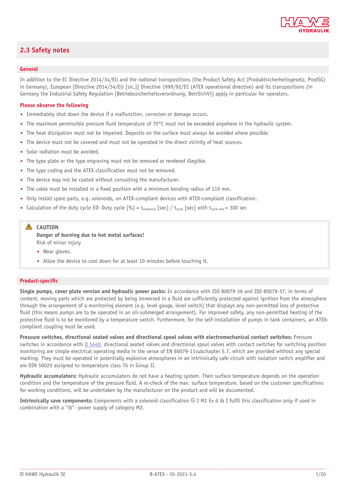

# <span id="page-6-1"></span><span id="page-6-0"></span>**2.3 Safety notes**

#### **General**

In addition to the EC Directive 2014/34/EU and the national transpositions (the Product Safety Act (Produktsicherheitsgesetz, ProdSG) in Germany), European [Directive 2014/34/EU [sic.]] Directive 1999/92/EC (ATEX operational directive) and its transpositions (in Germany the Industrial Safety Regulation (Betriebssicherheitsverordnung, BetrSichV)) apply in particular for operators.

#### **Please observe the following**

- Immediately shut down the device if a malfunction, corrosion or damage occurs.
- The maximum permissible pressure fluid temperature of 70°C must not be exceeded anywhere in the hydraulic system.
- The heat dissipation must not be impaired. Deposits on the surface must always be avoided where possible.
- The device must not be covered and must not be operated in the direct vicinity of heat sources.
- Solar radiation must be avoided.
- The type plate or the type engraving must not be removed or rendered illegible.
- The type coding and the ATEX classification must not be removed.
- The device may not be coated without consulting the manufacturer.
- The cable must be installed in a fixed position with a minimum bending radius of 110 mm.
- Only install spare parts, e.g. solenoids, on ATEX-compliant devices with ATEX-compliant classification.
- Calculation of the duty cycle ED: Duty cycle  $[\%]$  = t<sub>energised</sub> [sec] / t<sub>cycle</sub> [sec] with t<sub>cycle max</sub> = 300 sec

#### **A** CAUTION

**Danger of burning due to hot metal surfaces!** Risk of minor injury

- Wear gloves.
- Allow the device to cool down for at least 10 minutes before touching it.

#### **Product-specific**

**Single pumps, cover plate version and hydraulic power packs:** In accordance with ISO 80079-36 and ISO 80079-37, in terms of content, moving parts which are protected by being immersed in a fluid are sufficiently protected against ignition from the atmosphere through the arrangement of a monitoring element (e.g. level gauge, level switch) that displays any non-permitted loss of protective fluid (this means pumps are to be operated in an oil-submerged arrangement). For improved safety, any non-permitted heating of the protective fluid is to be monitored by a temperature switch. Furthermore, for the self-installation of pumps in tank containers, an ATEXcompliant coupling must be used.

**Pressure switches, directional seated valves and directional spool valves with electromechanical contact switches:** Pressure switches in accordance with [D 5440,](http://downloads.hawe.com/5/4/D5440-en.pdf) directional seated valves and directional spool valves with contact switches for switching position monitoring are simple electrical operating media in the sense of EN 60079-11subchapter 5.7, which are provided without any special marking. They must be operated in potentially explosive atmospheres in an intrinsically safe circuit with isolation switch amplifier and are DIN 50020 assigned to temperature class T6 in Group II.

**Hydraulic accumulators:** Hydraulic accumulators do not have a heating system. Their surface temperature depends on the operation condition and the temperature of the pressure fluid. A re-check of the max. surface temperature, based on the customer specifications for working conditions, will be undertaken by the manufacturer on the product and will be documented.

**Intrinsically save components:** Components with a solenoid classification  $\circledB$  I M2 Ex d ib I fulfil this classification only if used in combination with a "ib"- power supply of category M2.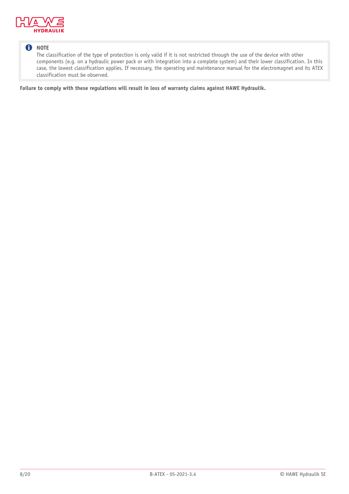

# **f** NOTE

The classification of the type of protection is only valid if it is not restricted through the use of the device with other components (e.g. on a hydraulic power pack or with integration into a complete system) and their lower classification. In this case, the lowest classification applies. If necessary, the operating and maintenance manual for the electromagnet and its ATEX classification must be observed.

**Failure to comply with these regulations will result in loss of warranty claims against HAWE Hydraulik.**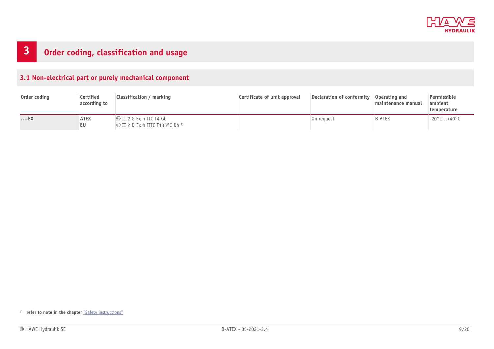

# **3 Order coding, classification and usage**

# **3.1 Non-electrical part or purely mechanical component**

<span id="page-8-0"></span>

| Order coding | Certified<br>according to | <b>Classification / marking</b>                                                        | Certificate of unit approval | Declaration of conformity | Operating and<br>maintenance manual | Permissible<br>ambient<br>temperature |
|--------------|---------------------------|----------------------------------------------------------------------------------------|------------------------------|---------------------------|-------------------------------------|---------------------------------------|
| $\ldots$ -EX | <b>ATEX</b><br>EU         | $\otimes$ II 2 G Ex h IIC T4 Gb<br>$\otimes$ II 2 D Ex h IIIC T135 °C Db <sup>1)</sup> |                              | On reauest                | <b>B ATEX</b>                       | $-20^{\circ}$ C+40°C                  |

<span id="page-8-1"></span>1) **refer to note in the chapter** ["Safety instructions"](#page-6-1)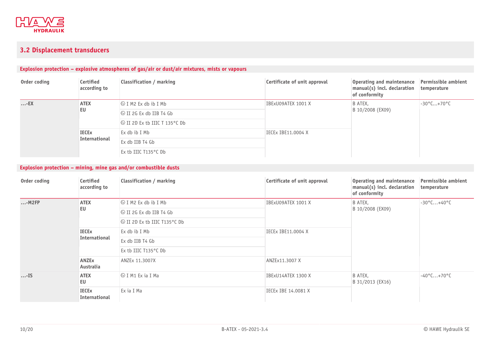

# **3.2 Displacement transducers**

# **Explosion protection – explosive atmospheres of gas/air or dust/air mixtures, mists or vapours**

| Order coding | Certified<br>according to | <b>Classification / marking</b>       | Certificate of unit approval | Operating and maintenance<br>manual(s) incl. declaration<br>of conformity | <b>Permissible ambient</b><br>temperature |
|--------------|---------------------------|---------------------------------------|------------------------------|---------------------------------------------------------------------------|-------------------------------------------|
| $\ldots$ -EX | <b>ATEX</b>               | $\otimes$ I M2 Ex db ib I Mb          | IBExU09ATEX 1001 X           | B ATEX,<br>B 10/2008 (EX09)                                               | $-30^{\circ}$ C+70 $^{\circ}$ C           |
|              | EU                        | $\otimes$ II 2G Ex db IIB T4 Gb       |                              |                                                                           |                                           |
|              |                           | $\otimes$ II 2D Ex tb IIIC T 135°C Db |                              |                                                                           |                                           |
|              | <b>IECE<sub>x</sub></b>   | Ex db ib I Mb                         | IECEx IBE11.0004 X           |                                                                           |                                           |
|              | International             | Ex db IIB T4 Gb                       |                              |                                                                           |                                           |
|              |                           | Ex tb IIIC $T135^{\circ}$ C Db        |                              |                                                                           |                                           |

# **Explosion protection – mining, mine gas and/or combustible dusts**

<span id="page-9-0"></span>

| Order coding | Certified<br>according to     | Classification / marking      | Certificate of unit approval | <b>Operating and maintenance</b><br>manual(s) incl. declaration<br>of conformity | Permissible ambient<br>temperature |
|--------------|-------------------------------|-------------------------------|------------------------------|----------------------------------------------------------------------------------|------------------------------------|
| $$ -M2FP     | <b>ATEX</b>                   | $\otimes$ I M2 Ex db ib I Mb  | IBExU09ATEX 1001 X           | B ATEX,<br>B 10/2008 (EX09)                                                      | $-30^{\circ}$ C+40°C               |
|              | EU                            | $\circ$ II 2G Ex db IIB T4 Gb |                              |                                                                                  |                                    |
|              |                               | S II 2D Ex tb IIIC T135°C Db  |                              |                                                                                  |                                    |
|              | <b>IECEX</b><br>International | Ex db ib I Mb                 | IECEX IBE11.0004 X           |                                                                                  |                                    |
|              |                               | Ex db IIB T4 Gb               |                              |                                                                                  |                                    |
|              |                               | Ex tb IIIC T135°C Db          |                              |                                                                                  |                                    |
|              | <b>ANZEx</b><br>Australia     | ANZEx 11.3007X                | ANZEx11.3007 X               |                                                                                  |                                    |
| $$ -IS       | <b>ATEX</b><br>EU             | I ® I M1 Ex ia I Ma           | IBExU14ATEX 1300 X           | B ATEX,<br>B 31/2013 (EX16)                                                      | $-40^{\circ}$ C+70 $^{\circ}$ C    |
|              | <b>IECEX</b><br>International | Ex ia I Ma                    | IECEX IBE 14.0081 X          |                                                                                  |                                    |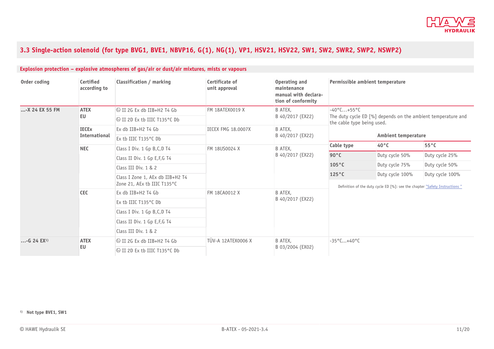

# 3.3 Single-action solenoid (for type BVG1, BVE1, NBVP16, G(1), NG(1), VP1, HSV21, HSV22, SW1, SW2, SWR2, SWP2, NSWP2)

<span id="page-10-0"></span>

| Order coding              | Certified<br>according to | Classification / marking                                        | Certificate of<br>unit approval | Operating and<br>maintenance<br>manual with declara-<br>tion of conformity |                                                                                                                                      | Permissible ambient temperature |                |
|---------------------------|---------------------------|-----------------------------------------------------------------|---------------------------------|----------------------------------------------------------------------------|--------------------------------------------------------------------------------------------------------------------------------------|---------------------------------|----------------|
| -X 24 EX 55 FM            | <b>ATEX</b>               | $\otimes$ II 2G Ex db IIB+H2 T4 Gb                              | FM 18ATEX0019 X                 | B ATEX.<br>B 40/2017 (EX22)                                                | $-40^{\circ}$ C+55°C<br>The duty cycle ED [%] depends on the ambient temperature and<br>the cable type being used.                   |                                 |                |
|                           | EU                        | St II 2D Ex th IIIC T135°C Db                                   |                                 |                                                                            |                                                                                                                                      |                                 |                |
|                           | <b>IECEx</b>              | Ex db IIB+H2 T4 Gb                                              | <b>IECEX FMG 18.0007X</b>       | B ATEX.<br>B 40/2017 (EX22)                                                |                                                                                                                                      |                                 |                |
|                           | International             | Ex tb IIIC T135°C Db                                            |                                 |                                                                            |                                                                                                                                      | Ambient temperature             |                |
|                           | <b>NEC</b>                | Class I Div. 1 Gp B, C, D T4                                    | FM 18US0024 X                   | B ATEX.<br>B 40/2017 (EX22)                                                | Cable type                                                                                                                           | $40^{\circ}$ C                  | $55^{\circ}$ C |
|                           |                           | Class II Div. 1 Gp E, F, G T4                                   |                                 |                                                                            | $90^{\circ}$ C                                                                                                                       | Duty cycle 50%                  | Duty cycle 25% |
|                           |                           | Class III Div. 1 & 2                                            |                                 |                                                                            | $105^{\circ}$ C                                                                                                                      | Duty cycle 75%                  | Duty cycle 50% |
|                           |                           | Class I Zone 1, AEx db IIB+H2 T4<br>Zone 21, AEx tb IIIC T135°C |                                 |                                                                            | Duty cycle 100%<br>$125^{\circ}$ C<br>Duty cycle 100%<br>Definition of the duty cycle ED [%]: see the chapter "Safety Instructions " |                                 |                |
|                           | <b>CEC</b>                | Ex db IIB+H2 $T4$ Gb                                            | FM 18CA0012 X                   | <b>B ATEX,</b>                                                             |                                                                                                                                      |                                 |                |
|                           |                           | Ex tb IIIC T135°C Db                                            |                                 | B 40/2017 (EX22)                                                           |                                                                                                                                      |                                 |                |
|                           |                           | Class I Div. 1 Gp B, C, D T4                                    |                                 |                                                                            |                                                                                                                                      |                                 |                |
|                           |                           | Class II Div. 1 Gp E, F, G T4                                   |                                 |                                                                            |                                                                                                                                      |                                 |                |
|                           |                           | Class III Div. 1 & 2                                            |                                 |                                                                            |                                                                                                                                      |                                 |                |
| $$ -G 24 EX <sup>1)</sup> | <b>ATEX</b>               | $\otimes$ II 2G Ex db IIB+H2 T4 Gb                              | <b>TÜV-A 12ATEX0006 X</b>       | B ATEX.                                                                    | $-35^{\circ}$ C+40°C                                                                                                                 |                                 |                |
|                           | EU                        | I ۞ II 2D Ex tb IIIC T135°C Db                                  |                                 | B 03/2004 (EX02)                                                           |                                                                                                                                      |                                 |                |

#### **Explosion protection – explosive atmospheres of gas/air or dust/air mixtures, mists or vapours**

**1) Not type BVE1, SW1**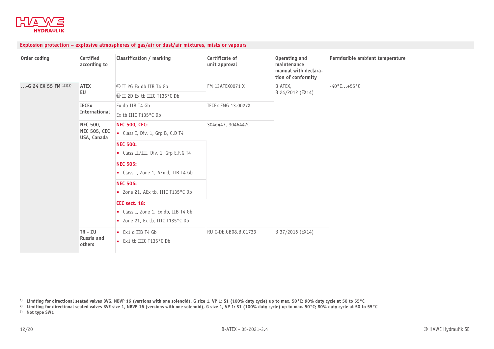

# **Explosion protection – explosive atmospheres of gas/air or dust/air mixtures, mists or vapours**

| Order coding            | Certified<br>according to          | <b>Classification / marking</b>                                                              | Certificate of<br>unit approval | Operating and<br>maintenance<br>manual with declara-<br>tion of conformity | Permissible ambient temperature |  |
|-------------------------|------------------------------------|----------------------------------------------------------------------------------------------|---------------------------------|----------------------------------------------------------------------------|---------------------------------|--|
| -G 24 EX 55 FM $1)2)3)$ | <b>ATEX</b>                        | $\otimes$ II 2G Ex db IIB T4 Gb                                                              | FM 13ATEX0071 X                 | B ATEX,<br>B 24/2012 (EX14)                                                | $-40^{\circ}$ C+55°C            |  |
|                         | EU                                 | © II 2D Ex tb IIIC T135°C Db                                                                 |                                 |                                                                            |                                 |  |
|                         | <b>IECEx</b>                       | Ex db IIB T4 Gb                                                                              | <b>IECEX FMG 13.0027X</b>       |                                                                            |                                 |  |
|                         | International                      | Ex tb IIIC T135°C Db                                                                         |                                 |                                                                            |                                 |  |
|                         | <b>NEC 500,</b>                    | <b>NEC 500, CEC:</b>                                                                         | 3046447, 3046447C               |                                                                            |                                 |  |
|                         | <b>NEC 505, CEC</b><br>USA, Canada | Class I, Div. 1, Grp B, C,D T4                                                               |                                 |                                                                            |                                 |  |
|                         |                                    | <b>NEC 500:</b>                                                                              |                                 |                                                                            |                                 |  |
|                         |                                    | • Class II/III, Div. 1, Grp E, F, G T4                                                       |                                 |                                                                            |                                 |  |
|                         |                                    | <b>NEC 505:</b>                                                                              |                                 |                                                                            |                                 |  |
|                         |                                    | Class I, Zone 1, AEx d, IIB T4 Gb                                                            |                                 |                                                                            |                                 |  |
|                         |                                    | <b>NEC 506:</b>                                                                              |                                 |                                                                            |                                 |  |
|                         |                                    | • Zone 21, AEx tb, IIIC T135°C Db                                                            |                                 |                                                                            |                                 |  |
|                         |                                    | CEC sect. 18:<br>Class I, Zone 1, Ex db, IIB T4 Gb<br>Lackson Zone 21, Ex tb, IIIC T135°C Db |                                 |                                                                            |                                 |  |
|                         | TR - ZU                            | Ex1 d IIB T4 Gb                                                                              | RU C-DE.GB08.B.01733            | B 37/2016 (EX14)                                                           |                                 |  |
|                         | Russia and<br>others               | Ex1 tb IIIC T135°C Db                                                                        |                                 |                                                                            |                                 |  |

 $^{\rm 1)}$  Limiting for directional seated valves BVG, NBVP 16 (versions with one solenoid), G size 1, VP 1: S1 (100% duty cycle) up to max. 50°C; 90% duty cycle at 50 to 55°C

<sup>2)</sup> Limiting for directional seated valves BVE size 1, NBVP 16 (versions with one solenoid), G size 1, VP 1: S1 (100% duty cycle) up to max. 50°C; 80% duty cycle at 50 to 55°C

**3) Not type SW1**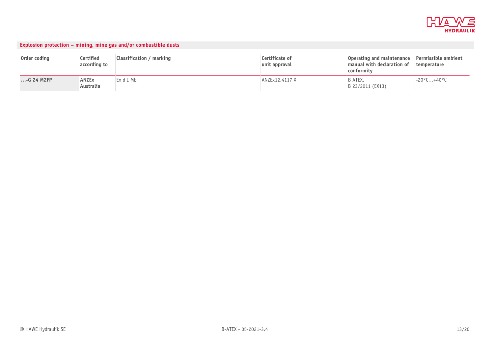

|               |                           | Explosion protection – mining, mine gas and/or combustible dusts |                                 |                                                                       |                                    |
|---------------|---------------------------|------------------------------------------------------------------|---------------------------------|-----------------------------------------------------------------------|------------------------------------|
| Order coding  | Certified<br>according to | Classification / marking                                         | Certificate of<br>unit approval | Operating and maintenance<br>manual with declaration of<br>conformity | Permissible ambient<br>temperature |
| $$ -G 24 M2FP | <b>ANZEx</b><br>Australia | Ex d I Mb                                                        | ANZEx12.4117 X                  | IB ATEX.<br>B 23/2011 (EX13)                                          | $-20^{\circ}$ C+40°C               |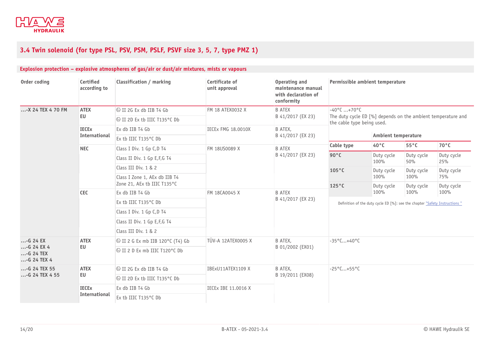

# **3.4 Twin solenoid (for type PSL, PSV, PSM, PSLF, PSVF size 3, 5, 7, type PMZ 1)**

<span id="page-13-0"></span>

| Order coding                                     | Certified<br>according to | Classification / marking               | Certificate of<br>unit approval | Operating and<br>maintenance manual<br>with declaration of<br>conformity |                                                                             | Permissible ambient temperature                              |                    |                   |  |
|--------------------------------------------------|---------------------------|----------------------------------------|---------------------------------|--------------------------------------------------------------------------|-----------------------------------------------------------------------------|--------------------------------------------------------------|--------------------|-------------------|--|
| -X 24 TEX 4 70 FM                                | <b>ATEX</b>               | Us II 2G Ex db IIB T4 Gb               | FM 18 ATEX0032 X                | <b>B ATEX</b><br>B 41/2017 (EX 23)                                       |                                                                             | $-40^{\circ}$ C +70 $^{\circ}$ C                             |                    |                   |  |
|                                                  | EU                        | S II 2D Ex tb IIIC T135°C Db           |                                 |                                                                          | the cable type being used.                                                  | The duty cycle ED [%] depends on the ambient temperature and |                    |                   |  |
|                                                  | <b>IECEx</b>              | Ex db IIB T4 Gb                        | <b>IECEX FMG 18.0010X</b>       | B ATEX.                                                                  |                                                                             |                                                              |                    |                   |  |
|                                                  | <b>International</b>      | Ex tb IIIC T135°C Db                   |                                 | B 41/2017 (EX 23)                                                        |                                                                             | Ambient temperature                                          |                    |                   |  |
|                                                  | <b>NEC</b>                | Class I Div. 1 Gp C, D T4              | FM 18US0089 X                   | <b>B ATEX</b>                                                            | Cable type                                                                  | 40°C                                                         | $55^{\circ}$ C     | $70^{\circ}$ C    |  |
|                                                  |                           | Class II Div. 1 Gp E, F, G T4          |                                 | B 41/2017 (EX 23)                                                        | $90^{\circ}$ C                                                              | Duty cycle<br>100%                                           | Duty cycle<br>50%  | Duty cycle<br>25% |  |
|                                                  |                           | Class III Div. 1 & 2                   |                                 |                                                                          | $105^{\circ}$ C                                                             | Duty cycle                                                   | Duty cycle         | Duty cycle        |  |
|                                                  |                           | Class I Zone 1, AEx db IIB T4          |                                 |                                                                          |                                                                             | 100%                                                         | 100%               | 75%               |  |
|                                                  | <b>CEC</b>                | Zone 21, AEx tb IIIC T135°C            |                                 |                                                                          | $125^{\circ}$ C<br>Duty cycle<br>100%                                       | Duty cycle<br>100%                                           | Duty cycle<br>100% |                   |  |
|                                                  |                           | Ex db IIB T4 Gb                        | FM 18CA0045 X                   | <b>B ATEX</b><br>B 41/2017 (EX 23)                                       |                                                                             |                                                              |                    |                   |  |
|                                                  |                           | Ex tb IIIC T135°C Db                   |                                 |                                                                          | Definition of the duty cycle ED [%]: see the chapter "Safety Instructions " |                                                              |                    |                   |  |
|                                                  |                           | Class I Div. 1 Gp C, D T4              |                                 |                                                                          |                                                                             |                                                              |                    |                   |  |
|                                                  |                           | Class II Div. 1 Gp E, F, G T4          |                                 |                                                                          |                                                                             |                                                              |                    |                   |  |
|                                                  |                           | Class III Div. 1 & 2                   |                                 |                                                                          |                                                                             |                                                              |                    |                   |  |
| $ - G 24 EX$                                     | <b>ATEX</b>               | $\circ$ II 2 G Ex mb IIB 120°C (T4) Gb | TÜV-A 12ATEX0005 X              | B ATEX,                                                                  | $-35^{\circ}$ C+40°C                                                        |                                                              |                    |                   |  |
| $$ -G 24 EX 4<br>$ - G 24 TEX$<br>$$ -G 24 TEX 4 | EU                        |                                        |                                 | B 01/2002 (EX01)                                                         |                                                                             |                                                              |                    |                   |  |
| -G 24 TEX 55                                     | <b>ATEX</b>               | <b>&amp;II 2G Ex db IIB T4 Gb</b>      | IBExU11ATEX1109 X               | B ATEX,                                                                  | $-25^{\circ}$ C+55°C                                                        |                                                              |                    |                   |  |
| $$ -G 24 TEX 4 55                                | EU                        | S II 2D Ex tb IIIC T135°C Db           |                                 | B 19/2011 (EX08)                                                         |                                                                             |                                                              |                    |                   |  |
|                                                  | <b>IECEx</b>              | Ex db IIB T4 Gb                        | IECEX IBE 11.0016 X             |                                                                          |                                                                             |                                                              |                    |                   |  |
|                                                  | <b>International</b>      | Ex tb IIIC T135°C Db                   |                                 |                                                                          |                                                                             |                                                              |                    |                   |  |

#### **Explosion protection – explosive atmospheres of gas/air or dust/air mixtures, mists or vapours**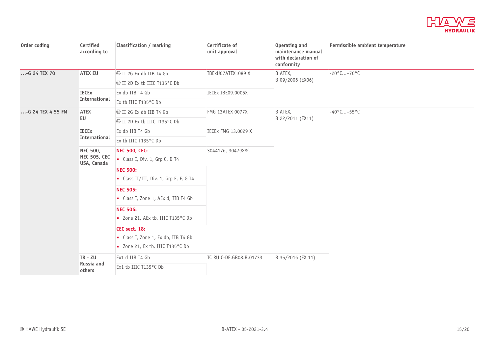

| Order coding      | Certified<br>according to                             | Classification / marking                                                               | Certificate of<br>unit approval | Operating and<br>maintenance manual<br>with declaration of<br>conformity | Permissible ambient temperature |
|-------------------|-------------------------------------------------------|----------------------------------------------------------------------------------------|---------------------------------|--------------------------------------------------------------------------|---------------------------------|
| -G 24 TEX 70      | <b>ATEX EU</b>                                        | U II 2G Ex db IIB T4 Gb                                                                | IBExU07ATEX1089 X               | B ATEX,                                                                  | $-20^{\circ}$ C+70 $^{\circ}$ C |
|                   |                                                       | S II 2D Ex tb IIIC T135 °C Db                                                          |                                 | B 09/2006 (EX06)                                                         |                                 |
|                   | <b>IECEx</b>                                          | Ex db IIB T4 Gb                                                                        | IECEx IBE09.0005X               |                                                                          |                                 |
|                   | <b>International</b>                                  | Ex tb IIIC T135°C Db                                                                   |                                 |                                                                          |                                 |
| -G 24 TEX 4 55 FM | <b>ATEX</b>                                           | U II 2G Ex db IIB T4 Gb                                                                | <b>FMG 13ATEX 0077X</b>         | B ATEX,                                                                  | $-40^{\circ}$ C+55°C            |
|                   | EU                                                    | <b>&amp; II 2D Ex tb IIIC T135°C Db</b>                                                |                                 | B 22/2011 (EX11)                                                         |                                 |
|                   | <b>IECEx</b>                                          | Ex db IIB T4 Gb                                                                        | IECEx FMG 13.0029 X             |                                                                          |                                 |
|                   | International                                         | Ex tb IIIC T135°C Db                                                                   |                                 |                                                                          |                                 |
|                   | <b>NEC 500,</b><br><b>NEC 505, CEC</b><br>USA, Canada | <b>NEC 500, CEC:</b><br>Class I, Div. 1, Grp C, D T4                                   | 3044176, 3047928C               |                                                                          |                                 |
|                   |                                                       | <b>NEC 500:</b><br>• Class II/III, Div. 1, Grp E, F, G T4                              |                                 |                                                                          |                                 |
|                   |                                                       | <b>NEC 505:</b><br>• Class I, Zone 1, AEx d, IIB T4 Gb                                 |                                 |                                                                          |                                 |
|                   |                                                       | <b>NEC 506:</b><br>• Zone 21, AEx tb, IIIC T135°C Db                                   |                                 |                                                                          |                                 |
|                   |                                                       | CEC sect. 18:<br>Class I, Zone 1, Ex db, IIB T4 Gb<br>• Zone 21, Ex tb, IIIC T135°C Db |                                 |                                                                          |                                 |
|                   | $TR - ZU$                                             | Ex1 d IIB T4 Gb                                                                        | TC RU C-DE.GB08.B.01733         | B 35/2016 (EX 11)                                                        |                                 |
|                   | Russia and<br>others                                  | Ex1 tb IIIC T135°C Db                                                                  |                                 |                                                                          |                                 |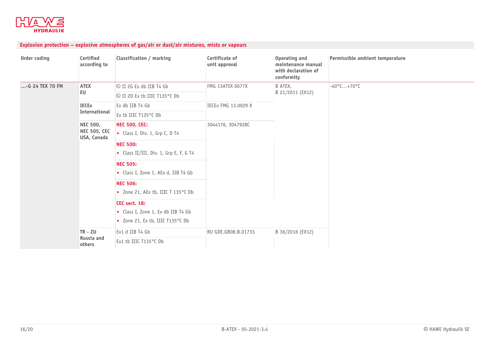

# **Explosion protection – explosive atmospheres of gas/air or dust/air mixtures, mists or vapours**

| Order coding    | Certified<br>according to          | <b>Classification / marking</b>                                                       | Certificate of<br>unit approval | Operating and<br>maintenance manual<br>with declaration of<br>conformity | Permissible ambient temperature |
|-----------------|------------------------------------|---------------------------------------------------------------------------------------|---------------------------------|--------------------------------------------------------------------------|---------------------------------|
| -G 24 TEX 70 FM | <b>ATEX</b>                        | Us II 2G Ex db IIB T4 Gb                                                              | <b>FMG 13ATEX 0077X</b>         | B ATEX,                                                                  | $-40^{\circ}$ C+70 $^{\circ}$ C |
|                 | EU                                 | <b> ⑤II 2D Ex tb IIIC T135°C Db</b>                                                   |                                 | B 21/2011 (EX12)                                                         |                                 |
|                 | <b>IECEx</b>                       | Ex db IIB T4 Gb                                                                       | IECEx FMG 13.0029 X             |                                                                          |                                 |
|                 | International                      | Ex tb IIIC T135°C Db                                                                  |                                 |                                                                          |                                 |
|                 | <b>NEC 500,</b>                    | <b>NEC 500, CEC:</b>                                                                  | 3044176, 3047928C               |                                                                          |                                 |
|                 | <b>NEC 505, CEC</b><br>USA, Canada | Class I, Div. 1, Grp C, D T4                                                          |                                 |                                                                          |                                 |
|                 |                                    | <b>NEC 500:</b>                                                                       |                                 |                                                                          |                                 |
|                 |                                    | • Class II/III, Div. 1, Grp E, F, G T4                                                |                                 |                                                                          |                                 |
|                 |                                    | <b>NEC 505:</b>                                                                       |                                 |                                                                          |                                 |
|                 |                                    | Class I, Zone 1, AEx d, IIB T4 Gb                                                     |                                 |                                                                          |                                 |
|                 |                                    | <b>NEC 506:</b>                                                                       |                                 |                                                                          |                                 |
|                 |                                    | • Zone 21, AEx tb, IIIC T 135°C Db                                                    |                                 |                                                                          |                                 |
|                 |                                    | CEC sect. 18:<br>Class I, Zone 1, Ex db IIB T4 Gb<br>• Zone 21, Ex tb, IIIC T135°C Db |                                 |                                                                          |                                 |
|                 | $TR - ZU$                          | Ex1 d IIB T4 Gb                                                                       | RU GDE.GB08.B.01733             | B 36/2016 (EX12)                                                         |                                 |
|                 | Russia and<br>others               | Ex1 tb IIIC T135°C Db                                                                 |                                 |                                                                          |                                 |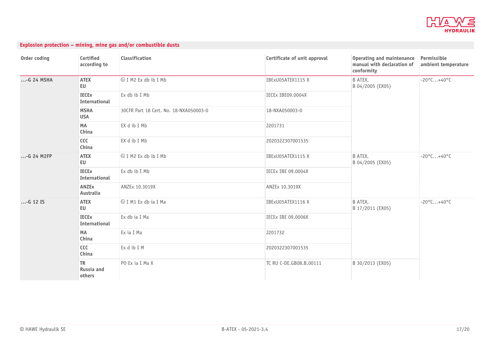

| Explosion protection – mining, mine gas and/or combustible dusts |  |  |  |  |  |
|------------------------------------------------------------------|--|--|--|--|--|
|------------------------------------------------------------------|--|--|--|--|--|

| Order coding | Certified<br>according to         | <b>Classification</b>                  | Certificate of unit approval | Operating and maintenance<br>manual with declaration of<br>conformity | Permissible<br>ambient temperature |
|--------------|-----------------------------------|----------------------------------------|------------------------------|-----------------------------------------------------------------------|------------------------------------|
| -G 24 MSHA   | <b>ATEX</b><br>EU                 | $\otimes$ I M2 Ex db ib I Mb           | IBExU05ATEX1115 X            | B ATEX,<br>B 04/2005 (EX05)                                           | $-20^{\circ}$ C+40°C               |
|              | <b>IECEx</b><br>International     | Ex db ib I Mb                          | IECEx IBE09.0004X            |                                                                       |                                    |
|              | <b>MSHA</b><br><b>USA</b>         | 30CFR Part 18 Cert. No. 18-NXA050003-0 | 18-NXA050003-0               |                                                                       |                                    |
|              | MA<br>China                       | EX d ib I Mb                           | J201731                      |                                                                       |                                    |
|              | CCC<br>China                      | EX d ib I Mb                           | 2020322307001535             |                                                                       |                                    |
| $G$ 24 M2FP  | <b>ATEX</b><br><b>EU</b>          | $\otimes$ I M2 Ex db ib I Mb           | IBExU05ATEX1115 X            | B ATEX,<br>B 04/2005 (EX05)                                           | $-20^{\circ}$ C+40°C               |
|              | <b>IECEx</b><br>International     | Ex db ib I Mb                          | <b>IECEX IBE 09.0004X</b>    |                                                                       |                                    |
|              | <b>ANZEx</b><br>Australia         | ANZEx 10.3019X                         | ANZEx 10.3019X               |                                                                       |                                    |
| $$ -G 12 IS  | <b>ATEX</b><br>EU                 | $\otimes$ I M1 Ex db ia I Ma           | IBExU05ATEX1116 X            | B ATEX,<br>B 17/2011 (EX05)                                           | $-20^{\circ}$ C+40°C               |
|              | <b>IECEx</b><br>International     | Ex db ia I Ma                          | <b>IECEX IBE 09.0006X</b>    |                                                                       |                                    |
|              | MA<br>China                       | Ex ia I Ma                             | J201732                      |                                                                       |                                    |
|              | ccc<br>China                      | Ex d ib I M                            | 2020322307001535             |                                                                       |                                    |
|              | <b>TR</b><br>Russia and<br>others | PO Ex ia I Ma X                        | TC RU C-DE.GB08.B.00111      | B 30/2013 (EX05)                                                      |                                    |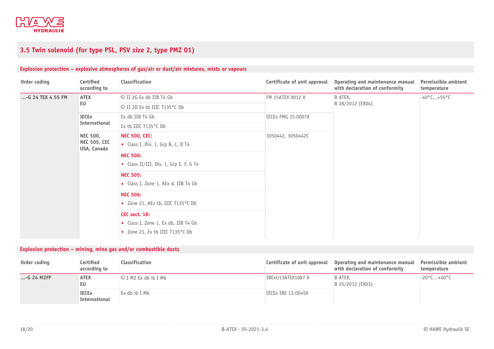

# **3.5 Twin solenoid (for type PSL, PSV size 2, type PMZ 01)**

# **Explosion protection – explosive atmospheres of gas/air or dust/air mixtures, mists or vapours**

| Order coding      | Certified<br>according to                             | <b>Classification</b>                                                                   | Certificate of unit approval | Operating and maintenance manual<br>with declaration of conformity | Permissible ambient<br>temperature |
|-------------------|-------------------------------------------------------|-----------------------------------------------------------------------------------------|------------------------------|--------------------------------------------------------------------|------------------------------------|
| -G 24 TEX 4 55 FM | <b>ATEX</b><br>EU                                     | $\otimes$ II 2G Ex db IIB T4 Gb                                                         | FM 15ATEX 0012 X             | B ATEX,<br>B 28/2012 (EX04)                                        | $-40^{\circ}$ C+55°C               |
|                   |                                                       | <b> ⑤II 2D Ex tb IIIC T135 °C Db</b>                                                    |                              |                                                                    |                                    |
|                   | <b>IECEx</b><br>International                         | Ex db IIB T4 Gb                                                                         | <b>IECEX FMG 15.0007X</b>    |                                                                    |                                    |
|                   |                                                       | Ex tb IIIC T135°C Db                                                                    |                              |                                                                    |                                    |
|                   | <b>NEC 500,</b><br><b>NEC 505, CEC</b><br>USA, Canada | <b>NEC 500, CEC:</b><br>Class I, Div. 1, Grp B, C, D T4                                 | 3050442, 3050442C            |                                                                    |                                    |
|                   |                                                       | <b>NEC 500:</b><br>• Class II/III, Div. 1, Grp E, F, G T4                               |                              |                                                                    |                                    |
|                   |                                                       | <b>NEC 505:</b><br>Class I, Zone 1, AEx d, IIB T4 Gb                                    |                              |                                                                    |                                    |
|                   |                                                       | <b>NEC 506:</b><br>• Zone 21, AEx tb, IIIC T135°C Db                                    |                              |                                                                    |                                    |
|                   |                                                       | CEC sect. 18:<br>• Class I, Zone 1, Ex db, IIB T4 Gb<br>■ Zone 21, Ex tb IIIC T135°C Db |                              |                                                                    |                                    |

# <span id="page-17-0"></span>**Explosion protection – mining, mine gas and/or combustible dusts**

| Order coding  | Certified<br>according to                | Classification               | Certificate of unit approval | Operating and maintenance manual<br>with declaration of conformity | Permissible ambient<br>temperature |
|---------------|------------------------------------------|------------------------------|------------------------------|--------------------------------------------------------------------|------------------------------------|
| $$ -G 24 M2FP | <b>ATEX</b><br>EU                        | $\otimes$ I M2 Ex db ib I Mb | IBExU13ATEX1087 X            | B ATEX.<br>B 25/2012 (EX03)                                        | $-20^{\circ}$ C+40 $^{\circ}$ C    |
|               | <b>IECE<sub>x</sub></b><br>International | Ex db ib I Mb                | IECEx IBE 13.0045X           |                                                                    |                                    |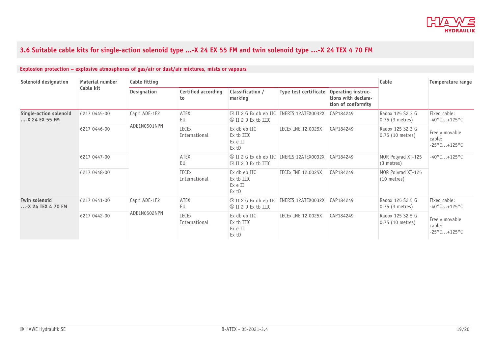

# 3.6 Suitable cable kits for single-action solenoid type ...-X 24 EX 55 FM and twin solenoid type ...-X 24 TEX 4 70 FM

<span id="page-18-0"></span>

| Solenoid designation                            | Material number<br>Cable kit | <b>Cable fitting</b>          |                                  |                                                                                 | Cable                     | Temperature range                                               |                                        |                                                                                            |
|-------------------------------------------------|------------------------------|-------------------------------|----------------------------------|---------------------------------------------------------------------------------|---------------------------|-----------------------------------------------------------------|----------------------------------------|--------------------------------------------------------------------------------------------|
|                                                 |                              | Designation                   | <b>Certified according</b><br>to | Classification /<br>marking                                                     | Type test certificate     | Operating instruc-<br>tions with declara-<br>tion of conformity |                                        |                                                                                            |
| <b>Single-action solenoid</b><br>-X 24 EX 55 FM | 6217 0445-00                 | Capri ADE-1F2<br>ADE1N0501NPN | <b>ATEX</b><br>EU                | <b>EV II 2 G Ex db eb IIC INERIS 12ATEX0032X</b><br>$\otimes$ II 2 D Ex tb IIIC |                           | CAP184249                                                       | Radox 125 S2 3 G<br>$0.75$ (3 metres)  | Fixed cable:<br>$-40^{\circ}$ C+125°C<br>Freely movable<br>cable:<br>$-25^{\circ}$ C+125°C |
|                                                 | 6217 0446-00                 |                               | <b>IECEx</b><br>International    | Ex db eb IIC<br>Ex tb IIIC<br>Ex e II<br>Ex tD                                  | <b>IECEX INE 12.0025X</b> | CAP184249                                                       | Radox 125 S2 3 G<br>$0.75$ (10 metres) |                                                                                            |
|                                                 | 6217 0447-00                 |                               | <b>ATEX</b><br>EU                | <b>EVALUATE:</b> IN ERRIS 12ATEX0032X<br>$\otimes$ II 2 D Ex tb IIIC            |                           | CAP184249                                                       | MOR Polyrad XT-125<br>(3 metres)       | $-40^{\circ}$ C+125°C                                                                      |
|                                                 | 6217 0448-00                 |                               | <b>IECEx</b><br>International    | Ex db eb IIC<br>Ex tb IIIC<br>Ex e II<br>Ex tD                                  | <b>IECEX INE 12.0025X</b> | CAP184249                                                       | MOR Polyrad XT-125<br>$(10$ metres)    |                                                                                            |
| Twin solenoid<br>-X 24 TEX 4 70 FM              | 6217 0441-00                 | Capri ADE-1F2<br>ADE1N0502NPN | <b>ATEX</b><br>EU                | I & II 2 G Ex db eb IIC INERIS 12ATEX0032X<br>$\otimes$ II 2 D Ex tb IIIC       |                           | CAP184249                                                       | Radox 125 S2 5 G<br>$0.75$ (3 metres)  | Fixed cable:<br>$-40^{\circ}$ C+125°C                                                      |
|                                                 | 6217 0442-00                 |                               | <b>IECEx</b><br>International    | Ex db eb IIC<br>Ex tb IIIC<br>Ex e II<br>Ex tD                                  | <b>IECEX INE 12.0025X</b> | CAP184249                                                       | Radox 125 S2 5 G<br>$0.75$ (10 metres) | Freely movable<br>cable:<br>$-25^{\circ}$ C+125°C                                          |

# **Explosion protection – explosive atmospheres of gas/air or dust/air mixtures, mists or vapours**